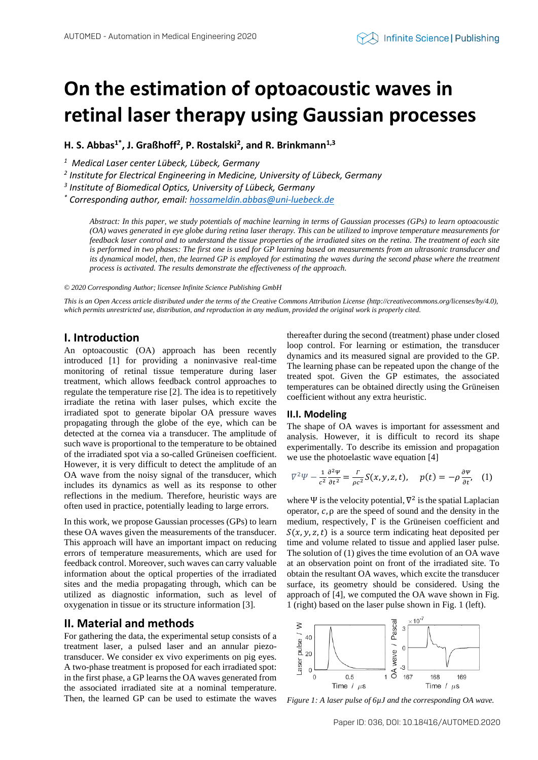# **On the estimation of optoacoustic waves in retinal laser therapy using Gaussian processes**

**H. S. Abbas1\* , J. Graßhoff<sup>2</sup> , P. Rostalski<sup>2</sup> , and R. Brinkmann1,3**

*<sup>1</sup> Medical Laser center Lübeck, Lübeck, Germany* 

*2 Institute for Electrical Engineering in Medicine, University of Lübeck, Germany*

*3 Institute of Biomedical Optics, University of Lübeck, Germany*

*\* Corresponding author, email[: hossameldin.abbas@uni-luebeck.de](mailto:hossameldin.abbas@uni-luebeck.de)*

*Abstract: In this paper, we study potentials of machine learning in terms of Gaussian processes (GPs) to learn optoacoustic (OA) waves generated in eye globe during retina laser therapy. This can be utilized to improve temperature measurements for feedback laser control and to understand the tissue properties of the irradiated sites on the retina. The treatment of each site is performed in two phases: The first one is used for GP learning based on measurements from an ultrasonic transducer and its dynamical model, then, the learned GP is employed for estimating the waves during the second phase where the treatment process is activated. The results demonstrate the effectiveness of the approach.*

*© 2020 Corresponding Author; licensee Infinite Science Publishing GmbH*

*This is an Open Access article distributed under the terms of the Creative Commons Attribution License (http://creativecommons.org/licenses/by/4.0), which permits unrestricted use, distribution, and reproduction in any medium, provided the original work is properly cited.*

## **I. Introduction**

An optoacoustic (OA) approach has been recently introduced [1] for providing a noninvasive real-time monitoring of retinal tissue temperature during laser treatment, which allows feedback control approaches to regulate the temperature rise [2]. The idea is to repetitively irradiate the retina with laser pulses, which excite the irradiated spot to generate bipolar OA pressure waves propagating through the globe of the eye, which can be detected at the cornea via a transducer. The amplitude of such wave is proportional to the temperature to be obtained of the irradiated spot via a so-called Grüneisen coefficient. However, it is very difficult to detect the amplitude of an OA wave from the noisy signal of the transducer, which includes its dynamics as well as its response to other reflections in the medium. Therefore, heuristic ways are often used in practice, potentially leading to large errors.

In this work, we propose Gaussian processes (GPs) to learn these OA waves given the measurements of the transducer. This approach will have an important impact on reducing errors of temperature measurements, which are used for feedback control. Moreover, such waves can carry valuable information about the optical properties of the irradiated sites and the media propagating through, which can be utilized as diagnostic information, such as level of oxygenation in tissue or its structure information [3].

# **II. Material and methods**

For gathering the data, the experimental setup consists of a treatment laser, a pulsed laser and an annular piezotransducer. We consider ex vivo experiments on pig eyes. A two-phase treatment is proposed for each irradiated spot: in the first phase, a GP learns the OA waves generated from the associated irradiated site at a nominal temperature. Then, the learned GP can be used to estimate the waves thereafter during the second (treatment) phase under closed loop control. For learning or estimation, the transducer dynamics and its measured signal are provided to the GP. The learning phase can be repeated upon the change of the treated spot. Given the GP estimates, the associated temperatures can be obtained directly using the Grüneisen coefficient without any extra heuristic.

### **II.I. Modeling**

The shape of OA waves is important for assessment and analysis. However, it is difficult to record its shape experimentally. To describe its emission and propagation we use the photoelastic wave equation [4]

$$
\nabla^2 \Psi - \frac{1}{c^2} \frac{\partial^2 \Psi}{\partial t^2} = \frac{\Gamma}{\rho c^2} S(x, y, z, t), \quad p(t) = -\rho \frac{\partial \Psi}{\partial t}, \quad (1)
$$

where  $\Psi$  is the velocity potential,  $\nabla^2$  is the spatial Laplacian operator,  $c$ ,  $\rho$  are the speed of sound and the density in the medium, respectively, Γ is the Grüneisen coefficient and  $S(x, y, z, t)$  is a source term indicating heat deposited per time and volume related to tissue and applied laser pulse. The solution of (1) gives the time evolution of an OA wave at an observation point on front of the irradiated site. To obtain the resultant OA waves, which excite the transducer surface, its geometry should be considered. Using the approach of [4], we computed the OA wave shown in Fig. 1 (right) based on the laser pulse shown in Fig. 1 (left).



*Figure 1: A laser pulse of 6µJ and the corresponding OA wave.*